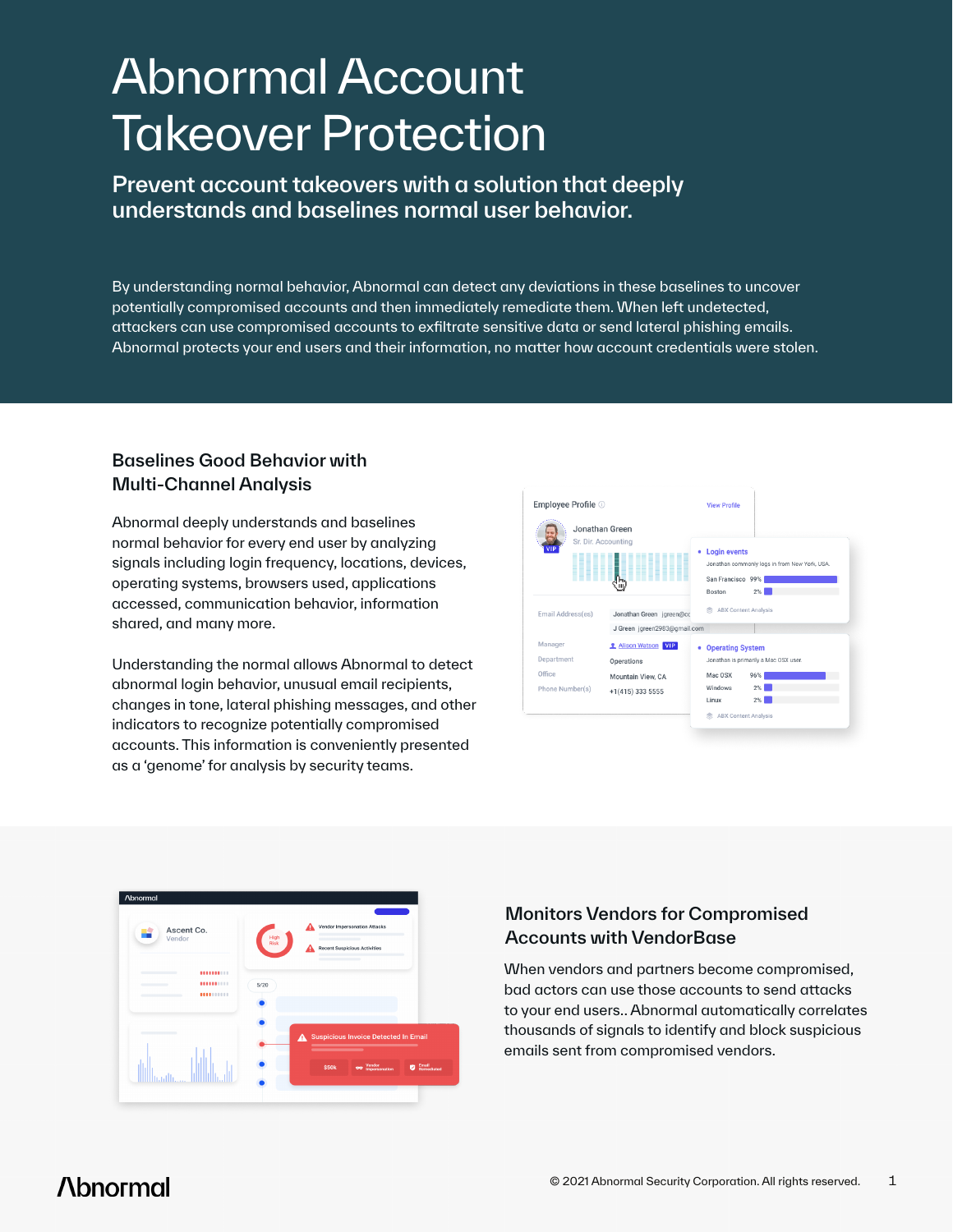# Abnormal Account **Takeover Protection**

Prevent account takeovers with a solution that deeply understands and baselines normal user behavior.

By understanding normal behavior, Abnormal can detect any deviations in these baselines to uncover potentially compromised accounts and then immediately remediate them. When left undetected, attackers can use compromised accounts to exfiltrate sensitive data or send lateral phishing emails. Abnormal protects your end users and their information, no matter how account credentials were stolen.

### Baselines Good Behavior with Multi-Channel Analysis

Abnormal deeply understands and baselines normal behavior for every end user by analyzing signals including login frequency, locations, devices, operating systems, browsers used, applications accessed, communication behavior, information shared, and many more.

Understanding the normal allows Abnormal to detect abnormal login behavior, unusual email recipients, changes in tone, lateral phishing messages, and other indicators to recognize potentially compromised accounts. This information is conveniently presented as a 'genome' for analysis by security teams.



| <b>Abnormal</b><br>Ascent Co.<br>Vendor | <b>Vendor Impersonation Attacks</b><br>High<br>Risk<br><b>Recent Suspicious Activities</b>                              |
|-----------------------------------------|-------------------------------------------------------------------------------------------------------------------------|
| <br>٠<br><br>$\sim$<br>                 | 5/20                                                                                                                    |
|                                         | <b>Suspicious Invoice Detected In Email</b><br>Α<br>___<br>vendor<br>Impersonation<br>Email<br>Remediated<br>\$50k<br>ø |

### Monitors Vendors for Compromised Accounts with VendorBase

When vendors and partners become compromised, bad actors can use those accounts to send attacks to your end users.. Abnormal automatically correlates thousands of signals to identify and block suspicious emails sent from compromised vendors.

## **Abnormal**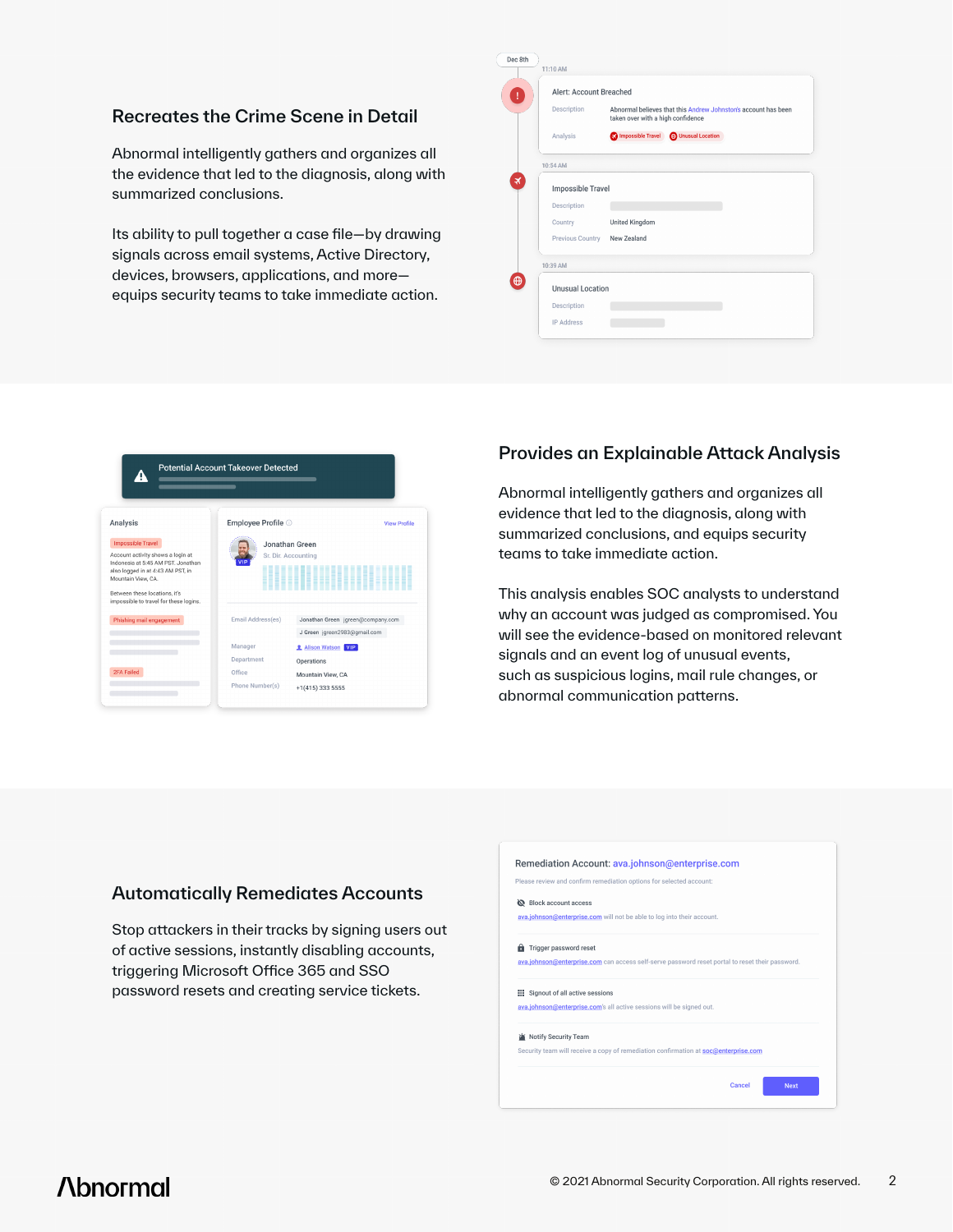### Recreates the Crime Scene in Detail

Abnormal intelligently gathers and organizes all the evidence that led to the diagnosis, along with summarized conclusions.

Its ability to pull together a case file—by drawing signals across email systems, Active Directory, devices, browsers, applications, and more equips security teams to take immediate action.

| 11:10 AM |                         |                                                                                                     |
|----------|-------------------------|-----------------------------------------------------------------------------------------------------|
|          | Alert: Account Breached |                                                                                                     |
|          | Description             | Abnormal believes that this Andrew Johnston's account has been<br>taken over with a high confidence |
|          | Analysis                | Impossible Travel (+) Unusual Location                                                              |
| 10:54 AM |                         |                                                                                                     |
|          | Impossible Travel       |                                                                                                     |
|          | Description             |                                                                                                     |
|          | Country                 | <b>United Kingdom</b>                                                                               |
|          | Previous Country        | New Zealand                                                                                         |
| 10:39 AM |                         |                                                                                                     |
|          | <b>Unusual Location</b> |                                                                                                     |
|          | Description             |                                                                                                     |
|          |                         |                                                                                                     |



### Provides an Explainable Attack Analysis

Abnormal intelligently gathers and organizes all evidence that led to the diagnosis, along with summarized conclusions, and equips security teams to take immediate action.

This analysis enables SOC analysts to understand why an account was judged as compromised. You will see the evidence-based on monitored relevant signals and an event log of unusual events, such as suspicious logins, mail rule changes, or abnormal communication patterns.

### Automatically Remediates Accounts

Stop attackers in their tracks by signing users out of active sessions, instantly disabling accounts, triggering Microsoft Office 365 and SSO password resets and creating service tickets.

| Please review and confirm remediation options for selected account: |                                                                                                 |  |  |  |
|---------------------------------------------------------------------|-------------------------------------------------------------------------------------------------|--|--|--|
| Block account access                                                |                                                                                                 |  |  |  |
|                                                                     | ava.johnson@enterprise.com will not be able to log into their account.                          |  |  |  |
|                                                                     | Trigger password reset                                                                          |  |  |  |
|                                                                     | ava.johnson@enterprise.com can access self-serve password reset portal to reset their password. |  |  |  |
|                                                                     | Signout of all active sessions                                                                  |  |  |  |
|                                                                     | ava.johnson@enterprise.com's all active sessions will be signed out.                            |  |  |  |
|                                                                     | Notify Security Team                                                                            |  |  |  |
|                                                                     | Security team will receive a copy of remediation confirmation at soc@enterprise.com             |  |  |  |
|                                                                     |                                                                                                 |  |  |  |

### **Abnormal**